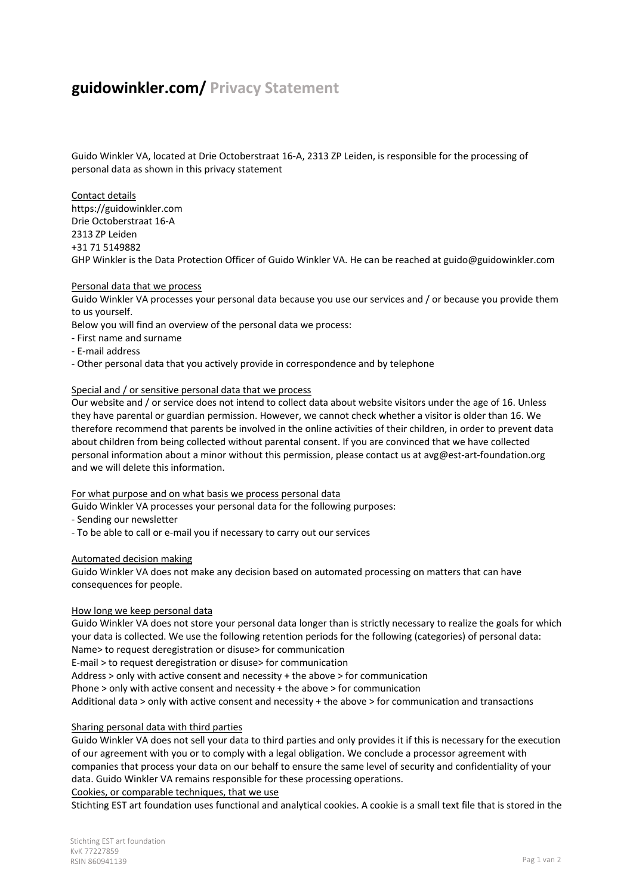# **guidowinkler.com/ Privacy Statement**

Guido Winkler VA, located at Drie Octoberstraat 16-A, 2313 ZP Leiden, is responsible for the processing of personal data as shown in this privacy statement

Contact details https://guidowinkler.com Drie Octoberstraat 16-A 2313 ZP Leiden +31 71 5149882 GHP Winkler is the Data Protection Officer of Guido Winkler VA. He can be reached at guido@guidowinkler.com

#### Personal data that we process

Guido Winkler VA processes your personal data because you use our services and / or because you provide them to us yourself.

Below you will find an overview of the personal data we process:

- First name and surname
- E-mail address
- Other personal data that you actively provide in correspondence and by telephone

#### Special and / or sensitive personal data that we process

Our website and / or service does not intend to collect data about website visitors under the age of 16. Unless they have parental or guardian permission. However, we cannot check whether a visitor is older than 16. We therefore recommend that parents be involved in the online activities of their children, in order to prevent data about children from being collected without parental consent. If you are convinced that we have collected personal information about a minor without this permission, please contact us at avg@est-art-foundation.org and we will delete this information.

For what purpose and on what basis we process personal data

Guido Winkler VA processes your personal data for the following purposes:

- Sending our newsletter

- To be able to call or e-mail you if necessary to carry out our services

#### Automated decision making

Guido Winkler VA does not make any decision based on automated processing on matters that can have consequences for people.

# How long we keep personal data

Guido Winkler VA does not store your personal data longer than is strictly necessary to realize the goals for which your data is collected. We use the following retention periods for the following (categories) of personal data: Name> to request deregistration or disuse> for communication

E-mail > to request deregistration or disuse> for communication

Address > only with active consent and necessity + the above > for communication

Phone > only with active consent and necessity + the above > for communication

Additional data > only with active consent and necessity + the above > for communication and transactions

# Sharing personal data with third parties

Guido Winkler VA does not sell your data to third parties and only provides it if this is necessary for the execution of our agreement with you or to comply with a legal obligation. We conclude a processor agreement with companies that process your data on our behalf to ensure the same level of security and confidentiality of your data. Guido Winkler VA remains responsible for these processing operations.

Cookies, or comparable techniques, that we use

Stichting EST art foundation uses functional and analytical cookies. A cookie is a small text file that is stored in the